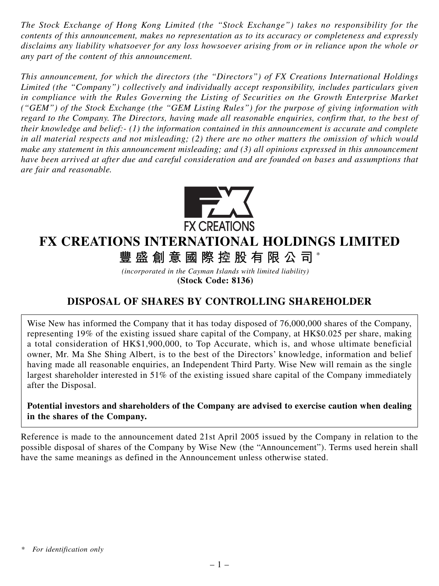*The Stock Exchange of Hong Kong Limited (the "Stock Exchange") takes no responsibility for the contents of this announcement, makes no representation as to its accuracy or completeness and expressly disclaims any liability whatsoever for any loss howsoever arising from or in reliance upon the whole or any part of the content of this announcement.*

*This announcement, for which the directors (the "Directors") of FX Creations International Holdings Limited (the "Company") collectively and individually accept responsibility, includes particulars given in compliance with the Rules Governing the Listing of Securities on the Growth Enterprise Market ("GEM") of the Stock Exchange (the "GEM Listing Rules") for the purpose of giving information with regard to the Company. The Directors, having made all reasonable enquiries, confirm that, to the best of their knowledge and belief:- (1) the information contained in this announcement is accurate and complete in all material respects and not misleading; (2) there are no other matters the omission of which would make any statement in this announcement misleading; and (3) all opinions expressed in this announcement have been arrived at after due and careful consideration and are founded on bases and assumptions that are fair and reasonable.*



## **FX CREATIONS INTERNATIONAL HOLDINGS LIMITED**

**豐盛創意國際控股有限公司** \*

*(incorporated in the Cayman Islands with limited liability)* **(Stock Code: 8136)**

## **DISPOSAL OF SHARES BY CONTROLLING SHAREHOLDER**

Wise New has informed the Company that it has today disposed of 76,000,000 shares of the Company, representing 19% of the existing issued share capital of the Company, at HK\$0.025 per share, making a total consideration of HK\$1,900,000, to Top Accurate, which is, and whose ultimate beneficial owner, Mr. Ma She Shing Albert, is to the best of the Directors' knowledge, information and belief having made all reasonable enquiries, an Independent Third Party. Wise New will remain as the single largest shareholder interested in 51% of the existing issued share capital of the Company immediately after the Disposal.

**Potential investors and shareholders of the Company are advised to exercise caution when dealing in the shares of the Company.**

Reference is made to the announcement dated 21st April 2005 issued by the Company in relation to the possible disposal of shares of the Company by Wise New (the "Announcement"). Terms used herein shall have the same meanings as defined in the Announcement unless otherwise stated.

*<sup>\*</sup> For identification only*